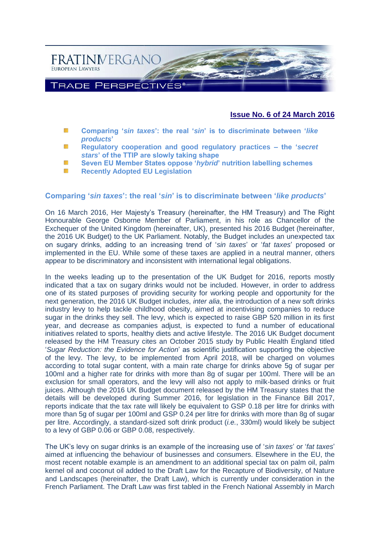

## **Issue No. 6 of 24 March 2016**

- **Comparing '***sin taxes***': the real '***sin***[' is to discriminate between '](#page-0-0)***like*  冨 *[products](#page-0-0)***'**
- NS. **[Regulatory cooperation and good regulatory practices –](#page-2-0) the '***secret stars***[' of the TTIP are slowly taking shape](#page-2-0)**
- 縦 **[Seven EU Member States oppose '](#page-5-0)***hybrid***' nutrition labelling schemes**
- **[Recently Adopted EU Legislation](#page-8-0)** 櫾

#### <span id="page-0-0"></span>**Comparing '***sin taxes***': the real '***sin***' is to discriminate between '***like products***'**

On 16 March 2016, Her Majesty's Treasury (hereinafter, the HM Treasury) and The Right Honourable George Osborne Member of Parliament, in his role as Chancellor of the Exchequer of the United Kingdom (hereinafter, UK), presented his 2016 Budget (hereinafter, the 2016 UK Budget) to the UK Parliament. Notably, the Budget includes an unexpected tax on sugary drinks, adding to an increasing trend of '*sin taxes*' or '*fat taxes*' proposed or implemented in the EU. While some of these taxes are applied in a neutral manner, others appear to be discriminatory and inconsistent with international legal obligations.

In the weeks leading up to the presentation of the UK Budget for 2016, reports mostly indicated that a tax on sugary drinks would not be included. However, in order to address one of its stated purposes of providing security for working people and opportunity for the next generation, the 2016 UK Budget includes, *inter alia*, the introduction of a new soft drinks industry levy to help tackle childhood obesity, aimed at incentivising companies to reduce sugar in the drinks they sell. The levy, which is expected to raise GBP 520 million in its first year, and decrease as companies adjust, is expected to fund a number of educational initiatives related to sports, healthy diets and active lifestyle. The 2016 UK Budget document released by the HM Treasury cites an October 2015 study by Public Health England titled '*Sugar Reduction: the Evidence for Action*' as scientific justification supporting the objective of the levy. The levy, to be implemented from April 2018, will be charged on volumes according to total sugar content, with a main rate charge for drinks above 5g of sugar per 100ml and a higher rate for drinks with more than 8g of sugar per 100ml. There will be an exclusion for small operators, and the levy will also not apply to milk-based drinks or fruit juices. Although the 2016 UK Budget document released by the HM Treasury states that the details will be developed during Summer 2016, for legislation in the Finance Bill 2017, reports indicate that the tax rate will likely be equivalent to GSP 0.18 per litre for drinks with more than 5g of sugar per 100ml and GSP 0.24 per litre for drinks with more than 8g of sugar per litre. Accordingly, a standard-sized soft drink product (*i.e.*, 330ml) would likely be subject to a levy of GBP 0.06 or GBP 0.08, respectively.

The UK's levy on sugar drinks is an example of the increasing use of '*sin taxes*' or '*fat taxes*' aimed at influencing the behaviour of businesses and consumers. Elsewhere in the EU, the most recent notable example is an amendment to an additional special tax on palm oil, palm kernel oil and coconut oil added to the Draft Law for the Recapture of Biodiversity, of Nature and Landscapes (hereinafter, the Draft Law), which is currently under consideration in the French Parliament. The Draft Law was first tabled in the French National Assembly in March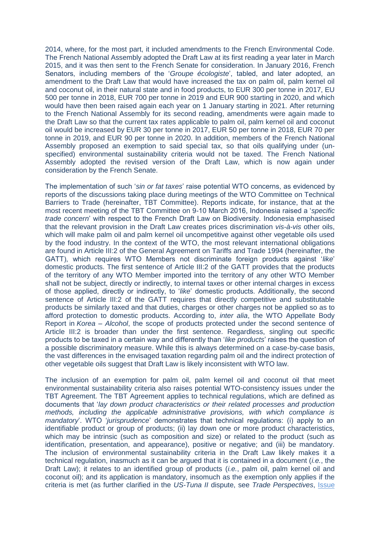2014, where, for the most part, it included amendments to the French Environmental Code. The French National Assembly adopted the Draft Law at its first reading a year later in March 2015, and it was then sent to the French Senate for consideration. In January 2016, French Senators, including members of the '*Groupe écologiste*', tabled, and later adopted, an amendment to the Draft Law that would have increased the tax on palm oil, palm kernel oil and coconut oil, in their natural state and in food products, to EUR 300 per tonne in 2017, EU 500 per tonne in 2018, EUR 700 per tonne in 2019 and EUR 900 starting in 2020, and which would have then been raised again each year on 1 January starting in 2021. After returning to the French National Assembly for its second reading, amendments were again made to the Draft Law so that the current tax rates applicable to palm oil, palm kernel oil and coconut oil would be increased by EUR 30 per tonne in 2017, EUR 50 per tonne in 2018, EUR 70 per tonne in 2019, and EUR 90 per tonne in 2020. In addition, members of the French National Assembly proposed an exemption to said special tax, so that oils qualifying under (unspecified) environmental sustainability criteria would not be taxed. The French National Assembly adopted the revised version of the Draft Law, which is now again under consideration by the French Senate.

The implementation of such '*sin or fat taxes*' raise potential WTO concerns, as evidenced by reports of the discussions taking place during meetings of the WTO Committee on Technical Barriers to Trade (hereinafter, TBT Committee). Reports indicate, for instance, that at the most recent meeting of the TBT Committee on 9-10 March 2016, Indonesia raised a '*specific trade concern*' with respect to the French Draft Law on Biodiversity. Indonesia emphasised that the relevant provision in the Draft Law creates prices discrimination *vis-à-vis* other oils, which will make palm oil and palm kernel oil uncompetitive against other vegetable oils used by the food industry. In the context of the WTO, the most relevant international obligations are found in Article III:2 of the General Agreement on Tariffs and Trade 1994 (hereinafter, the GATT), which requires WTO Members not discriminate foreign products against '*like*' domestic products. The first sentence of Article III:2 of the GATT provides that the products of the territory of any WTO Member imported into the territory of any other WTO Member shall not be subject, directly or indirectly, to internal taxes or other internal charges in excess of those applied, directly or indirectly, to '*like*' domestic products. Additionally, the second sentence of Article III:2 of the GATT requires that directly competitive and substitutable products be similarly taxed and that duties, charges or other charges not be applied so as to afford protection to domestic products. According to, *inter alia*, the WTO Appellate Body Report in *Korea – Alcohol*, the scope of products protected under the second sentence of Article III:2 is broader than under the first sentence. Regardless, singling out specific products to be taxed in a certain way and differently than '*like products*' raises the question of a possible discriminatory measure. While this is always determined on a case-by-case basis, the vast differences in the envisaged taxation regarding palm oil and the indirect protection of other vegetable oils suggest that Draft Law is likely inconsistent with WTO law.

The inclusion of an exemption for palm oil, palm kernel oil and coconut oil that meet environmental sustainability criteria also raises potential WTO-consistency issues under the TBT Agreement. The TBT Agreement applies to technical regulations, which are defined as documents that '*lay down product characteristics or their related processes and production methods, including the applicable administrative provisions, with which compliance is mandatory*'. WTO '*jurisprudence*' demonstrates that technical regulations: (i) apply to an identifiable product or group of products; (ii) lay down one or more product characteristics, which may be intrinsic (such as composition and size) or related to the product (such as identification, presentation, and appearance), positive or negative; and (iii) be mandatory. The inclusion of environmental sustainability criteria in the Draft Law likely makes it a technical regulation, inasmuch as it can be argued that it is contained in a document (*i.e.*, the Draft Law); it relates to an identified group of products (*i.e.*, palm oil, palm kernel oil and coconut oil); and its application is mandatory, insomuch as the exemption only applies if the criteria is met (as further clarified in the *US-Tuna II* dispute, see *Trade Perspectives*, [Issue](http://www.fratinivergano.eu/static/upload/1/1/Issue_No._10_(18-5)_.pdf)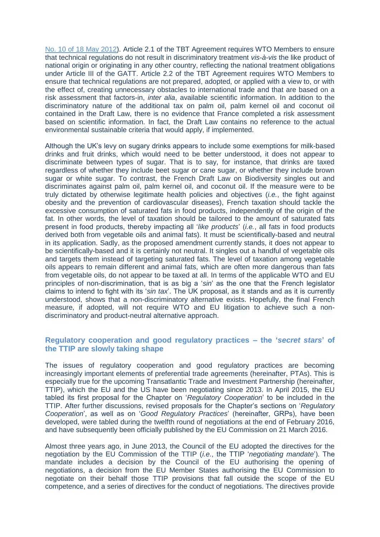[No. 10 of 18 May 2012\)](http://www.fratinivergano.eu/static/upload/1/1/Issue_No._10_(18-5)_.pdf). Article 2.1 of the TBT Agreement requires WTO Members to ensure that technical regulations do not result in discriminatory treatment *vis-à-vis* the like product of national origin or originating in any other country, reflecting the national treatment obligations under Article III of the GATT. Article 2.2 of the TBT Agreement requires WTO Members to ensure that technical regulations are not prepared, adopted, or applied with a view to, or with the effect of, creating unnecessary obstacles to international trade and that are based on a risk assessment that factors-in, *inter alia*, available scientific information. In addition to the discriminatory nature of the additional tax on palm oil, palm kernel oil and coconut oil contained in the Draft Law, there is no evidence that France completed a risk assessment based on scientific information. In fact, the Draft Law contains no reference to the actual environmental sustainable criteria that would apply, if implemented.

Although the UK's levy on sugary drinks appears to include some exemptions for milk-based drinks and fruit drinks, which would need to be better understood, it does not appear to discriminate between types of sugar. That is to say, for instance, that drinks are taxed regardless of whether they include beet sugar or cane sugar, or whether they include brown sugar or white sugar. To contrast, the French Draft Law on Biodiversity singles out and discriminates against palm oil, palm kernel oil, and coconut oil. If the measure were to be truly dictated by otherwise legitimate health policies and objectives (*i.e.*, the fight against obesity and the prevention of cardiovascular diseases), French taxation should tackle the excessive consumption of saturated fats in food products, independently of the origin of the fat. In other words, the level of taxation should be tailored to the amount of saturated fats present in food products, thereby impacting all '*like products*' (*i.e.*, all fats in food products derived both from vegetable oils and animal fats). It must be scientifically-based and neutral in its application. Sadly, as the proposed amendment currently stands, it does not appear to be scientifically-based and it is certainly not neutral. It singles out a handful of vegetable oils and targets them instead of targeting saturated fats. The level of taxation among vegetable oils appears to remain different and animal fats, which are often more dangerous than fats from vegetable oils, do not appear to be taxed at all. In terms of the applicable WTO and EU principles of non-discrimination, that is as big a '*sin*' as the one that the French legislator claims to intend to fight with its '*sin tax*'. The UK proposal, as it stands and as it is currently understood, shows that a non-discriminatory alternative exists. Hopefully, the final French measure, if adopted, will not require WTO and EU litigation to achieve such a nondiscriminatory and product-neutral alternative approach.

### <span id="page-2-0"></span>**Regulatory cooperation and good regulatory practices – the '***secret stars***' of the TTIP are slowly taking shape**

The issues of regulatory cooperation and good regulatory practices are becoming increasingly important elements of preferential trade agreements (hereinafter, PTAs). This is especially true for the upcoming Transatlantic Trade and Investment Partnership (hereinafter, TTIP), which the EU and the US have been negotiating since 2013. In April 2015, the EU tabled its first proposal for the Chapter on '*Regulatory Cooperation*' to be included in the TTIP. After further discussions, revised proposals for the Chapter's sections on '*Regulatory Cooperation*', as well as on '*Good Regulatory Practices*' (hereinafter, GRPs), have been developed, were tabled during the twelfth round of negotiations at the end of February 2016, and have subsequently been officially published by the EU Commission on 21 March 2016.

Almost three years ago, in June 2013, the Council of the EU adopted the directives for the negotiation by the EU Commission of the TTIP (*i.e.*, the TTIP '*negotiating mandate*'). The mandate includes a decision by the Council of the EU authorising the opening of negotiations, a decision from the EU Member States authorising the EU Commission to negotiate on their behalf those TTIP provisions that fall outside the scope of the EU competence, and a series of directives for the conduct of negotiations. The directives provide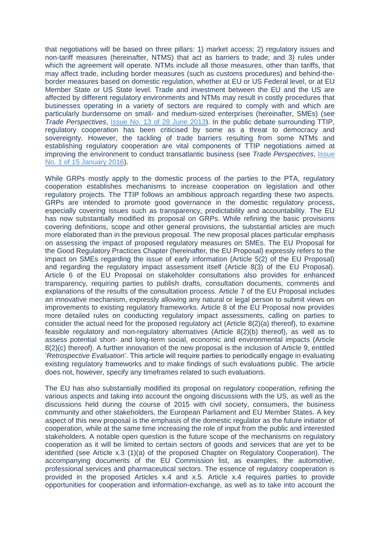that negotiations will be based on three pillars: 1) market access; 2) regulatory issues and non-tariff measures (hereinafter, NTMS) that act as barriers to trade; and 3) rules under which the agreement will operate. NTMs include all those measures, other than tariffs, that may affect trade, including border measures (such as customs procedures) and behind-theborder measures based on domestic regulation, whether at EU or US Federal level, or at EU Member State or US State level. Trade and investment between the EU and the US are affected by different regulatory environments and NTMs may result in costly procedures that businesses operating in a variety of sectors are required to comply with and which are particularly burdensome on small- and medium-sized enterprises (hereinafter, SMEs) (see *Trade Perspectives*, [Issue No. 13 of 28 June 2013\)](http://www.fratinivergano.eu/static/upload/1/1/13.06_.28_TP_issue_13_.pdf). In the public debate surrounding TTIP, regulatory cooperation has been criticised by some as a threat to democracy and sovereignty. However, the tackling of trade barriers resulting from some NTMs and establishing regulatory cooperation are vital components of TTIP negotiations aimed at improving the environment to conduct transatlantic business (see *Trade Perspectives*, [Issue](http://www.fratinivergano.eu/en/trade-perspectives/issue-number-1-15th-january-2016/)  [No. 1 of 15 January 2016\)](http://www.fratinivergano.eu/en/trade-perspectives/issue-number-1-15th-january-2016/).

While GRPs mostly apply to the domestic process of the parties to the PTA, regulatory cooperation establishes mechanisms to increase cooperation on legislation and other regulatory projects. The TTIP follows an ambitious approach regarding these two aspects. GRPs are intended to promote good governance in the domestic regulatory process, especially covering issues such as transparency, predictability and accountability. The EU has now substantially modified its proposal on GRPs. While refining the basic provisions covering definitions, scope and other general provisions, the substantial articles are much more elaborated than in the previous proposal. The new proposal places particular emphasis on assessing the impact of proposed regulatory measures on SMEs. The EU Proposal for the Good Regulatory Practices Chapter (hereinafter, the EU Proposal) expressly refers to the impact on SMEs regarding the issue of early information (Article 5(2) of the EU Proposal) and regarding the regulatory impact assessment itself (Article 8(3) of the EU Proposal). Article 6 of the EU Proposal on stakeholder consultations also provides for enhanced transparency, requiring parties to publish drafts, consultation documents, comments and explanations of the results of the consultation process. Article 7 of the EU Proposal includes an innovative mechanism, expressly allowing any natural or legal person to submit views on improvements to existing regulatory frameworks. Article 8 of the EU Proposal now provides more detailed rules on conducting regulatory impact assessments, calling on parties to consider the actual need for the proposed regulatory act (Article  $8(2)(a)$ ) thereof), to examine feasible regulatory and non-regulatory alternatives (Article 8(2)(b) thereof), as well as to assess potential short- and long-term social, economic and environmental impacts (Article 8(2)(c) thereof). A further innovation of the new proposal is the inclusion of Article 9, entitled '*Retrospective Evaluation*'. This article will require parties to periodically engage in evaluating existing regulatory frameworks and to make findings of such evaluations public. The article does not, however, specify any timeframes related to such evaluations.

The EU has also substantially modified its proposal on regulatory cooperation, refining the various aspects and taking into account the ongoing discussions with the US, as well as the discussions held during the course of 2015 with civil society, consumers, the business community and other stakeholders, the European Parliament and EU Member States. A key aspect of this new proposal is the emphasis of the domestic regulator as the future initiator of cooperation, while at the same time increasing the role of input from the public and interested stakeholders. A notable open question is the future scope of the mechanisms on regulatory cooperation as it will be limited to certain sectors of goods and services that are yet to be identified (see Article x.3 (1)(a) of the proposed Chapter on Regulatory Cooperation). The accompanying documents of the EU Commission list, as examples, the automotive, professional services and pharmaceutical sectors. The essence of regulatory cooperation is provided in the proposed Articles x.4 and x.5. Article x.4 requires parties to provide opportunities for cooperation and information-exchange, as well as to take into account the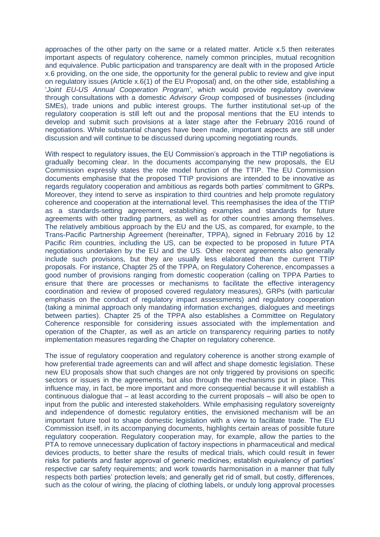approaches of the other party on the same or a related matter. Article x.5 then reiterates important aspects of regulatory coherence, namely common principles, mutual recognition and equivalence. Public participation and transparency are dealt with in the proposed Article x.6 providing, on the one side, the opportunity for the general public to review and give input on regulatory issues (Article x.6(1) of the EU Proposal) and, on the other side, establishing a '*Joint EU-US Annual Cooperation Program*', which would provide regulatory overview through consultations with a domestic *Advisory Group* composed of businesses (including SMEs), trade unions and public interest groups. The further institutional set-up of the regulatory cooperation is still left out and the proposal mentions that the EU intends to develop and submit such provisions at a later stage after the February 2016 round of negotiations. While substantial changes have been made, important aspects are still under discussion and will continue to be discussed during upcoming negotiating rounds.

With respect to regulatory issues, the EU Commission's approach in the TTIP negotiations is gradually becoming clear. In the documents accompanying the new proposals, the EU Commission expressly states the role model function of the TTIP. The EU Commission documents emphasise that the proposed TTIP provisions are intended to be innovative as regards regulatory cooperation and ambitious as regards both parties' commitment to GRPs. Moreover, they intend to serve as inspiration to third countries and help promote regulatory coherence and cooperation at the international level. This reemphasises the idea of the TTIP as a standards-setting agreement, establishing examples and standards for future agreements with other trading partners, as well as for other countries among themselves. The relatively ambitious approach by the EU and the US, as compared, for example, to the Trans-Pacific Partnership Agreement (hereinafter, TPPA), signed in February 2016 by 12 Pacific Rim countries, including the US, can be expected to be proposed in future PTA negotiations undertaken by the EU and the US. Other recent agreements also generally include such provisions, but they are usually less elaborated than the current TTIP proposals. For instance, Chapter 25 of the TPPA, on Regulatory Coherence, encompasses a good number of provisions ranging from domestic cooperation (calling on TPPA Parties to ensure that there are processes or mechanisms to facilitate the effective interagency coordination and review of proposed covered regulatory measures), GRPs (with particular emphasis on the conduct of regulatory impact assessments) and regulatory cooperation (taking a minimal approach only mandating information exchanges, dialogues and meetings between parties). Chapter 25 of the TPPA also establishes a Committee on Regulatory Coherence responsible for considering issues associated with the implementation and operation of the Chapter, as well as an article on transparency requiring parties to notify implementation measures regarding the Chapter on regulatory coherence.

The issue of regulatory cooperation and regulatory coherence is another strong example of how preferential trade agreements can and will affect and shape domestic legislation. These new EU proposals show that such changes are not only triggered by provisions on specific sectors or issues in the agreements, but also through the mechanisms put in place. This influence may, in fact, be more important and more consequential because it will establish a continuous dialogue that – at least according to the current proposals – will also be open to input from the public and interested stakeholders. While emphasising regulatory sovereignty and independence of domestic regulatory entities, the envisioned mechanism will be an important future tool to shape domestic legislation with a view to facilitate trade. The EU Commission itself, in its accompanying documents, highlights certain areas of possible future regulatory cooperation. Regulatory cooperation may, for example, allow the parties to the PTA to remove unnecessary duplication of factory inspections in pharmaceutical and medical devices products, to better share the results of medical trials, which could result in fewer risks for patients and faster approval of generic medicines; establish equivalency of parties' respective car safety requirements; and work towards harmonisation in a manner that fully respects both parties' protection levels; and generally get rid of small, but costly, differences, such as the colour of wiring, the placing of clothing labels, or unduly long approval processes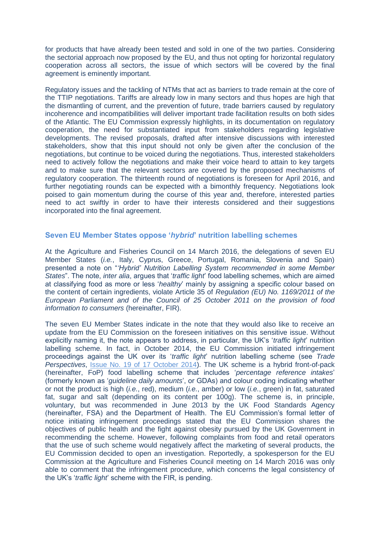for products that have already been tested and sold in one of the two parties. Considering the sectorial approach now proposed by the EU, and thus not opting for horizontal regulatory cooperation across all sectors, the issue of which sectors will be covered by the final agreement is eminently important.

Regulatory issues and the tackling of NTMs that act as barriers to trade remain at the core of the TTIP negotiations. Tariffs are already low in many sectors and thus hopes are high that the dismantling of current, and the prevention of future, trade barriers caused by regulatory incoherence and incompatibilities will deliver important trade facilitation results on both sides of the Atlantic. The EU Commission expressly highlights, in its documentation on regulatory cooperation, the need for substantiated input from stakeholders regarding legislative developments. The revised proposals, drafted after intensive discussions with interested stakeholders, show that this input should not only be given after the conclusion of the negotiations, but continue to be voiced during the negotiations. Thus, interested stakeholders need to actively follow the negotiations and make their voice heard to attain to key targets and to make sure that the relevant sectors are covered by the proposed mechanisms of regulatory cooperation. The thirteenth round of negotiations is foreseen for April 2016, and further negotiating rounds can be expected with a bimonthly frequency. Negotiations look poised to gain momentum during the course of this year and, therefore, interested parties need to act swiftly in order to have their interests considered and their suggestions incorporated into the final agreement.

## <span id="page-5-0"></span>**Seven EU Member States oppose '***hybrid***' nutrition labelling schemes**

At the Agriculture and Fisheries Council on 14 March 2016, the delegations of seven EU Member States (*i.e.*, Italy, Cyprus, Greece, Portugal, Romania, Slovenia and Spain) presented a note on "*'Hybrid' Nutrition Labelling System recommended in some Member States*". The note, *inter alia*, argues that '*traffic light*' food labelling schemes, which are aimed at classifying food as more or less '*healthy*' mainly by assigning a specific colour based on the content of certain ingredients, violate Article 35 of *Regulation (EU) No. 1169/2011 of the European Parliament and of the Council of 25 October 2011 on the provision of food information to consumers* (hereinafter, FIR).

The seven EU Member States indicate in the note that they would also like to receive an update from the EU Commission on the foreseen initiatives on this sensitive issue. Without explicitly naming it, the note appears to address, in particular, the UK's '*traffic light*' nutrition labelling scheme. In fact, in October 2014, the EU Commission initiated infringement proceedings against the UK over its '*traffic light*' nutrition labelling scheme (see *Trade Perspectives*, **Issue No. 19 of 17 October 2014**). The UK scheme is a hybrid front-of-pack (hereinafter, FoP) food labelling scheme that includes '*percentage reference intakes*' (formerly known as '*guideline daily amounts*', or GDAs) and colour coding indicating whether or not the product is high (*i.e.*, red), medium (*i.e.*, amber) or low (*i.e.*, green) in fat, saturated fat, sugar and salt (depending on its content per 100g). The scheme is, in principle, voluntary, but was recommended in June 2013 by the UK Food Standards Agency (hereinafter, FSA) and the Department of Health. The EU Commission's formal letter of notice initiating infringement proceedings stated that the EU Commission shares the objectives of public health and the fight against obesity pursued by the UK Government in recommending the scheme. However, following complaints from food and retail operators that the use of such scheme would negatively affect the marketing of several products, the EU Commission decided to open an investigation. Reportedly, a spokesperson for the EU Commission at the Agriculture and Fisheries Council meeting on 14 March 2016 was only able to comment that the infringement procedure, which concerns the legal consistency of the UK's '*traffic light*' scheme with the FIR, is pending.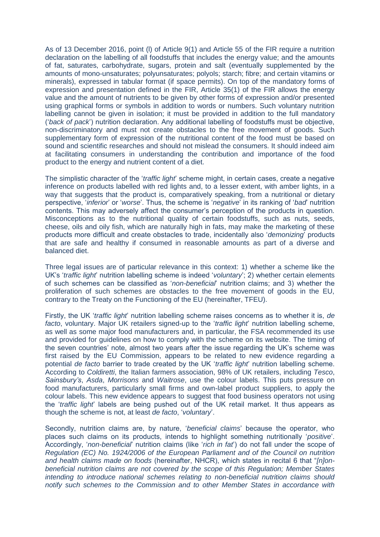As of 13 December 2016, point (l) of Article 9(1) and Article 55 of the FIR require a nutrition declaration on the labelling of all foodstuffs that includes the energy value; and the amounts of fat, saturates, carbohydrate, sugars, protein and salt (eventually supplemented by the amounts of mono-unsaturates; polyunsaturates; polyols; starch; fibre; and certain vitamins or minerals), expressed in tabular format (if space permits). On top of the mandatory forms of expression and presentation defined in the FIR, Article 35(1) of the FIR allows the energy value and the amount of nutrients to be given by other forms of expression and/or presented using graphical forms or symbols in addition to words or numbers. Such voluntary nutrition labelling cannot be given in isolation; it must be provided in addition to the full mandatory ('*back of pack*') nutrition declaration. Any additional labelling of foodstuffs must be objective, non-discriminatory and must not create obstacles to the free movement of goods. Such supplementary form of expression of the nutritional content of the food must be based on sound and scientific researches and should not mislead the consumers. It should indeed aim at facilitating consumers in understanding the contribution and importance of the food product to the energy and nutrient content of a diet.

The simplistic character of the '*traffic light*' scheme might, in certain cases, create a negative inference on products labelled with red lights and, to a lesser extent, with amber lights, in a way that suggests that the product is, comparatively speaking, from a nutritional or dietary perspective, '*inferior*' or '*worse*'. Thus, the scheme is '*negative*' in its ranking of '*bad*' nutrition contents. This may adversely affect the consumer's perception of the products in question. Misconceptions as to the nutritional quality of certain foodstuffs, such as nuts, seeds, cheese, oils and oily fish, which are naturally high in fats, may make the marketing of these products more difficult and create obstacles to trade, incidentally also '*demonizing*' products that are safe and healthy if consumed in reasonable amounts as part of a diverse and balanced diet.

Three legal issues are of particular relevance in this context: 1) whether a scheme like the UK's '*traffic light*' nutrition labelling scheme is indeed '*voluntary*'; 2) whether certain elements of such schemes can be classified as '*non-beneficial*' nutrition claims; and 3) whether the proliferation of such schemes are obstacles to the free movement of goods in the EU, contrary to the Treaty on the Functioning of the EU (hereinafter, TFEU).

Firstly, the UK '*traffic light*' nutrition labelling scheme raises concerns as to whether it is, *de facto*, voluntary. Major UK retailers signed-up to the '*traffic light*' nutrition labelling scheme, as well as some major food manufacturers and, in particular, the FSA recommended its use and provided for guidelines on how to comply with the scheme on its website. The timing of the seven countries' note, almost two years after the issue regarding the UK's scheme was first raised by the EU Commission, appears to be related to new evidence regarding a potential *de facto* barrier to trade created by the UK '*traffic light*' nutrition labelling scheme. According to *Coldiretti*, the Italian farmers association, 98% of UK retailers, including *Tesco*, *Sainsbury's*, *Asda*, *Morrisons* and *Waitrose*, use the colour labels. This puts pressure on food manufacturers, particularly small firms and own-label product suppliers, to apply the colour labels. This new evidence appears to suggest that food business operators not using the '*traffic light*' labels are being pushed out of the UK retail market. It thus appears as though the scheme is not, at least *de facto*, '*voluntary*'.

Secondly, nutrition claims are, by nature, '*beneficial claims*' because the operator, who places such claims on its products, intends to highlight something nutritionally '*positive*'. Accordingly, '*non-beneficial*' nutrition claims (like '*rich in fat*') do not fall under the scope of *Regulation (EC) No. 1924/2006 of the European Parliament and of the Council on nutrition and health claims made on foods* (hereinafter, NHCR), which states in recital 6 that "*[n]onbeneficial nutrition claims are not covered by the scope of this Regulation; Member States intending to introduce national schemes relating to non-beneficial nutrition claims should notify such schemes to the Commission and to other Member States in accordance with*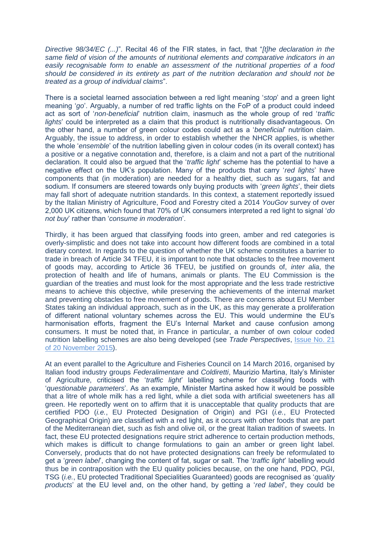*Directive 98/34/EC (...)*". Recital 46 of the FIR states, in fact, that "*[t]he declaration in the same field of vision of the amounts of nutritional elements and comparative indicators in an easily recognisable form to enable an assessment of the nutritional properties of a food should be considered in its entirety as part of the nutrition declaration and should not be treated as a group of individual claims*".

There is a societal learned association between a red light meaning '*stop*' and a green light meaning '*go*'. Arguably, a number of red traffic lights on the FoP of a product could indeed act as sort of '*non-beneficial*' nutrition claim, inasmuch as the whole group of red '*traffic lights*' could be interpreted as a claim that this product is nutritionally disadvantageous. On the other hand, a number of green colour codes could act as a '*beneficial*' nutrition claim. Arguably, the issue to address, in order to establish whether the NHCR applies, is whether the whole '*ensemble*' of the nutrition labelling given in colour codes (in its overall context) has a positive or a negative connotation and, therefore, is a claim and not a part of the nutritional declaration. It could also be argued that the '*traffic light*' scheme has the potential to have a negative effect on the UK's population. Many of the products that carry '*red lights*' have components that (in moderation) are needed for a healthy diet, such as sugars, fat and sodium. If consumers are steered towards only buying products with '*green lights*', their diets may fall short of adequate nutrition standards. In this context, a statement reportedly issued by the Italian Ministry of Agriculture, Food and Forestry cited a 2014 *YouGov* survey of over 2,000 UK citizens, which found that 70% of UK consumers interpreted a red light to signal '*do not buy*' rather than '*consume in moderation*'.

Thirdly, it has been argued that classifying foods into green, amber and red categories is overly-simplistic and does not take into account how different foods are combined in a total dietary context. In regards to the question of whether the UK scheme constitutes a barrier to trade in breach of Article 34 TFEU, it is important to note that obstacles to the free movement of goods may, according to Article 36 TFEU, be justified on grounds of, *inter alia*, the protection of health and life of humans, animals or plants. The EU Commission is the guardian of the treaties and must look for the most appropriate and the less trade restrictive means to achieve this objective, while preserving the achievements of the internal market and preventing obstacles to free movement of goods. There are concerns about EU Member States taking an individual approach, such as in the UK, as this may generate a proliferation of different national voluntary schemes across the EU. This would undermine the EU's harmonisation efforts, fragment the EU's Internal Market and cause confusion among consumers. It must be noted that, in France in particular, a number of own colour coded nutrition labelling schemes are also being developed (see *Trade Perspectives*, [Issue No. 21](http://www.fratinivergano.eu/en/trade-perspectives/issue-number-21-20th-november-2015/)  [of 20 November 2015\)](http://www.fratinivergano.eu/en/trade-perspectives/issue-number-21-20th-november-2015/).

At an event parallel to the Agriculture and Fisheries Council on 14 March 2016, organised by Italian food industry groups *Federalimentare* and *Coldiretti*, Maurizio Martina, Italy's Minister of Agriculture, criticised the '*traffic light*' labelling scheme for classifying foods with '*questionable parameters*'. As an example, Minister Martina asked how it would be possible that a litre of whole milk has a red light, while a diet soda with artificial sweeteners has all green. He reportedly went on to affirm that it is unacceptable that quality products that are certified PDO (*i.e.*, EU Protected Designation of Origin) and PGI (*i.e.*, EU Protected Geographical Origin) are classified with a red light, as it occurs with other foods that are part of the Mediterranean diet, such as fish and olive oil, or the great Italian tradition of sweets. In fact, these EU protected designations require strict adherence to certain production methods. which makes is difficult to change formulations to gain an amber or green light label. Conversely, products that do not have protected designations can freely be reformulated to get a '*green label*', changing the content of fat, sugar or salt. The '*traffic light*' labelling would thus be in contraposition with the EU quality policies because, on the one hand, PDO, PGI, TSG (*i.e.*, EU protected Traditional Specialities Guaranteed) goods are recognised as '*quality products*' at the EU level and, on the other hand, by getting a '*red label*', they could be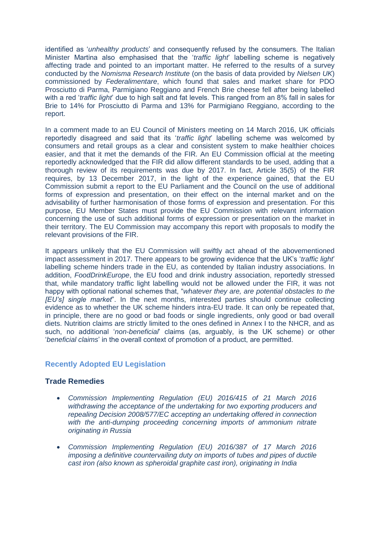identified as '*unhealthy products*' and consequently refused by the consumers. The Italian Minister Martina also emphasised that the '*traffic light*' labelling scheme is negatively affecting trade and pointed to an important matter. He referred to the results of a survey conducted by the *Nomisma Research Institute* (on the basis of data provided by *Nielsen UK*) commissioned by *Federalimentare*, which found that sales and market share for PDO Prosciutto di Parma, Parmigiano Reggiano and French Brie cheese fell after being labelled with a red '*traffic light*' due to high salt and fat levels. This ranged from an 8% fall in sales for Brie to 14% for Prosciutto di Parma and 13% for Parmigiano Reggiano, according to the report.

In a comment made to an EU Council of Ministers meeting on 14 March 2016, UK officials reportedly disagreed and said that its '*traffic light*' labelling scheme was welcomed by consumers and retail groups as a clear and consistent system to make healthier choices easier, and that it met the demands of the FIR. An EU Commission official at the meeting reportedly acknowledged that the FIR did allow different standards to be used, adding that a thorough review of its requirements was due by 2017. In fact, Article 35(5) of the FIR requires, by 13 December 2017, in the light of the experience gained, that the EU Commission submit a report to the EU Parliament and the Council on the use of additional forms of expression and presentation, on their effect on the internal market and on the advisability of further harmonisation of those forms of expression and presentation. For this purpose, EU Member States must provide the EU Commission with relevant information concerning the use of such additional forms of expression or presentation on the market in their territory. The EU Commission may accompany this report with proposals to modify the relevant provisions of the FIR.

It appears unlikely that the EU Commission will swiftly act ahead of the abovementioned impact assessment in 2017. There appears to be growing evidence that the UK's '*traffic light*' labelling scheme hinders trade in the EU, as contended by Italian industry associations. In addition, *FoodDrinkEurope*, the EU food and drink industry association, reportedly stressed that, while mandatory traffic light labelling would not be allowed under the FIR, it was not happy with optional national schemes that, "*whatever they are, are potential obstacles to the [EU's] single market*". In the next months, interested parties should continue collecting evidence as to whether the UK scheme hinders intra-EU trade. It can only be repeated that, in principle, there are no good or bad foods or single ingredients, only good or bad overall diets. Nutrition claims are strictly limited to the ones defined in Annex I to the NHCR, and as such, no additional '*non-beneficial*' claims (as, arguably, is the UK scheme) or other '*beneficial claims*' in the overall context of promotion of a product, are permitted.

#### <span id="page-8-0"></span>**Recently Adopted EU Legislation**

#### **Trade Remedies**

- *[Commission Implementing Regulation \(EU\) 2016/415 of 21 March 2016](http://eur-lex.europa.eu/legal-content/EN/AUTO/?uri=uriserv:OJ.L_.2016.075.01.0010.01.ENG&toc=OJ:L:2016:075:TOC)  [withdrawing the acceptance of the undertaking for two exporting producers and](http://eur-lex.europa.eu/legal-content/EN/AUTO/?uri=uriserv:OJ.L_.2016.075.01.0010.01.ENG&toc=OJ:L:2016:075:TOC)  [repealing Decision 2008/577/EC accepting an undertaking offered in connection](http://eur-lex.europa.eu/legal-content/EN/AUTO/?uri=uriserv:OJ.L_.2016.075.01.0010.01.ENG&toc=OJ:L:2016:075:TOC)  [with the anti-dumping proceeding concerning imports of ammonium nitrate](http://eur-lex.europa.eu/legal-content/EN/AUTO/?uri=uriserv:OJ.L_.2016.075.01.0010.01.ENG&toc=OJ:L:2016:075:TOC)  [originating in Russia](http://eur-lex.europa.eu/legal-content/EN/AUTO/?uri=uriserv:OJ.L_.2016.075.01.0010.01.ENG&toc=OJ:L:2016:075:TOC)*
- *[Commission Implementing Regulation \(EU\) 2016/387 of 17 March 2016](http://eur-lex.europa.eu/legal-content/EN/AUTO/?uri=uriserv:OJ.L_.2016.073.01.0001.01.ENG&toc=OJ:L:2016:073:TOC)  [imposing a definitive countervailing duty on imports of tubes and pipes of ductile](http://eur-lex.europa.eu/legal-content/EN/AUTO/?uri=uriserv:OJ.L_.2016.073.01.0001.01.ENG&toc=OJ:L:2016:073:TOC)  [cast iron \(also known as spheroidal graphite cast iron\), originating in India](http://eur-lex.europa.eu/legal-content/EN/AUTO/?uri=uriserv:OJ.L_.2016.073.01.0001.01.ENG&toc=OJ:L:2016:073:TOC)*